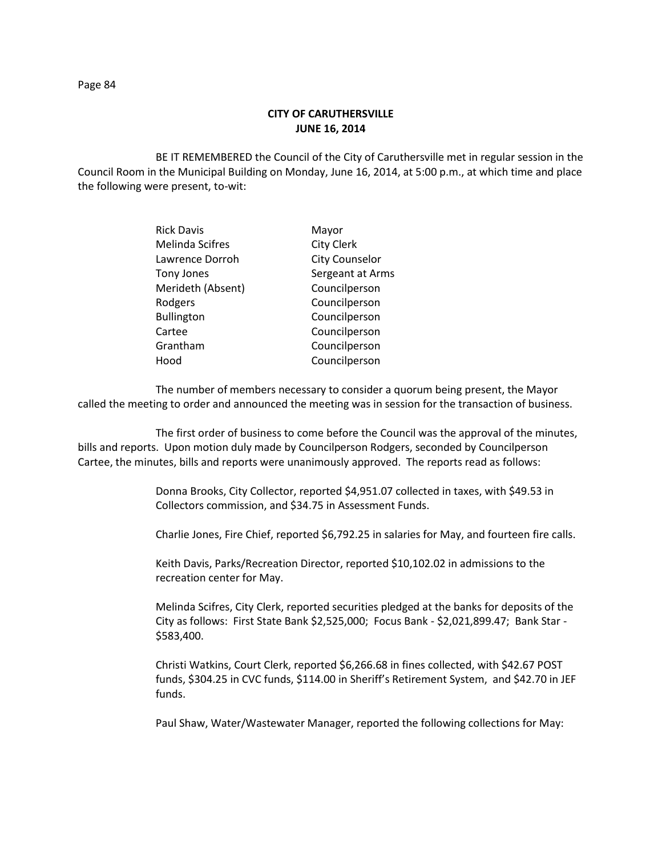## **CITY OF CARUTHERSVILLE JUNE 16, 2014**

BE IT REMEMBERED the Council of the City of Caruthersville met in regular session in the Council Room in the Municipal Building on Monday, June 16, 2014, at 5:00 p.m., at which time and place the following were present, to-wit:

| <b>Rick Davis</b>      | Mayor                 |
|------------------------|-----------------------|
| <b>Melinda Scifres</b> | <b>City Clerk</b>     |
| Lawrence Dorroh        | <b>City Counselor</b> |
| <b>Tony Jones</b>      | Sergeant at Arms      |
| Merideth (Absent)      | Councilperson         |
| Rodgers                | Councilperson         |
| <b>Bullington</b>      | Councilperson         |
| Cartee                 | Councilperson         |
| Grantham               | Councilperson         |
| Hood                   | Councilperson         |

The number of members necessary to consider a quorum being present, the Mayor called the meeting to order and announced the meeting was in session for the transaction of business.

The first order of business to come before the Council was the approval of the minutes, bills and reports. Upon motion duly made by Councilperson Rodgers, seconded by Councilperson Cartee, the minutes, bills and reports were unanimously approved. The reports read as follows:

> Donna Brooks, City Collector, reported \$4,951.07 collected in taxes, with \$49.53 in Collectors commission, and \$34.75 in Assessment Funds.

Charlie Jones, Fire Chief, reported \$6,792.25 in salaries for May, and fourteen fire calls.

Keith Davis, Parks/Recreation Director, reported \$10,102.02 in admissions to the recreation center for May.

Melinda Scifres, City Clerk, reported securities pledged at the banks for deposits of the City as follows: First State Bank \$2,525,000; Focus Bank - \$2,021,899.47; Bank Star - \$583,400.

Christi Watkins, Court Clerk, reported \$6,266.68 in fines collected, with \$42.67 POST funds, \$304.25 in CVC funds, \$114.00 in Sheriff's Retirement System, and \$42.70 in JEF funds.

Paul Shaw, Water/Wastewater Manager, reported the following collections for May: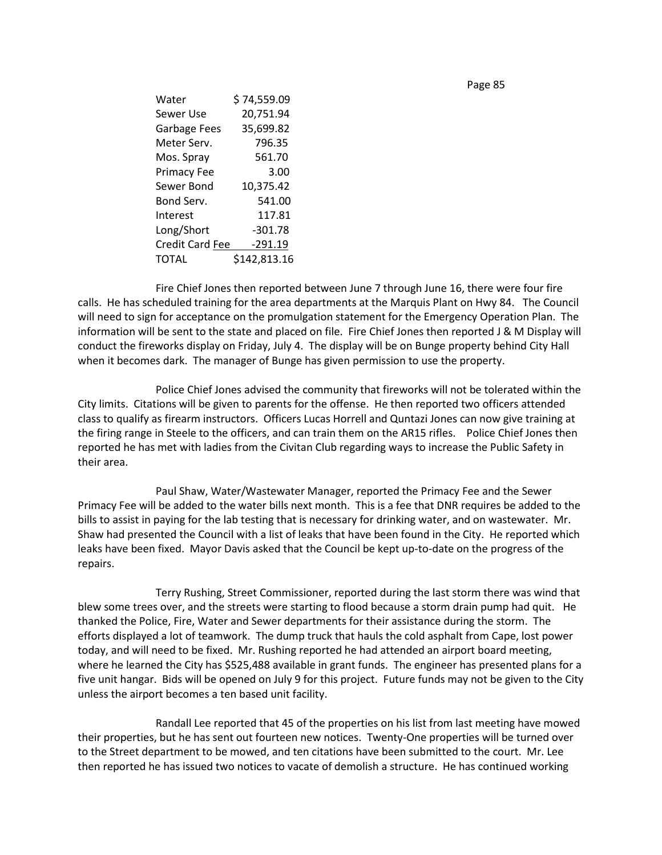| Water                  | \$74,559.09  |
|------------------------|--------------|
| Sewer Use              | 20,751.94    |
| Garbage Fees           | 35,699.82    |
| Meter Serv.            | 796.35       |
| Mos. Spray             | 561.70       |
| <b>Primacy Fee</b>     | 3.00         |
| Sewer Bond             | 10,375.42    |
| Bond Serv.             | 541.00       |
| Interest               | 117.81       |
| Long/Short             | $-301.78$    |
| <b>Credit Card Fee</b> | $-291.19$    |
| TOTAL                  | \$142,813.16 |

Fire Chief Jones then reported between June 7 through June 16, there were four fire calls. He has scheduled training for the area departments at the Marquis Plant on Hwy 84. The Council will need to sign for acceptance on the promulgation statement for the Emergency Operation Plan. The information will be sent to the state and placed on file. Fire Chief Jones then reported J & M Display will conduct the fireworks display on Friday, July 4. The display will be on Bunge property behind City Hall when it becomes dark. The manager of Bunge has given permission to use the property.

Police Chief Jones advised the community that fireworks will not be tolerated within the City limits. Citations will be given to parents for the offense. He then reported two officers attended class to qualify as firearm instructors. Officers Lucas Horrell and Quntazi Jones can now give training at the firing range in Steele to the officers, and can train them on the AR15 rifles. Police Chief Jones then reported he has met with ladies from the Civitan Club regarding ways to increase the Public Safety in their area.

Paul Shaw, Water/Wastewater Manager, reported the Primacy Fee and the Sewer Primacy Fee will be added to the water bills next month. This is a fee that DNR requires be added to the bills to assist in paying for the lab testing that is necessary for drinking water, and on wastewater. Mr. Shaw had presented the Council with a list of leaks that have been found in the City. He reported which leaks have been fixed. Mayor Davis asked that the Council be kept up-to-date on the progress of the repairs.

Terry Rushing, Street Commissioner, reported during the last storm there was wind that blew some trees over, and the streets were starting to flood because a storm drain pump had quit. He thanked the Police, Fire, Water and Sewer departments for their assistance during the storm. The efforts displayed a lot of teamwork. The dump truck that hauls the cold asphalt from Cape, lost power today, and will need to be fixed. Mr. Rushing reported he had attended an airport board meeting, where he learned the City has \$525,488 available in grant funds. The engineer has presented plans for a five unit hangar. Bids will be opened on July 9 for this project. Future funds may not be given to the City unless the airport becomes a ten based unit facility.

Randall Lee reported that 45 of the properties on his list from last meeting have mowed their properties, but he has sent out fourteen new notices. Twenty-One properties will be turned over to the Street department to be mowed, and ten citations have been submitted to the court. Mr. Lee then reported he has issued two notices to vacate of demolish a structure. He has continued working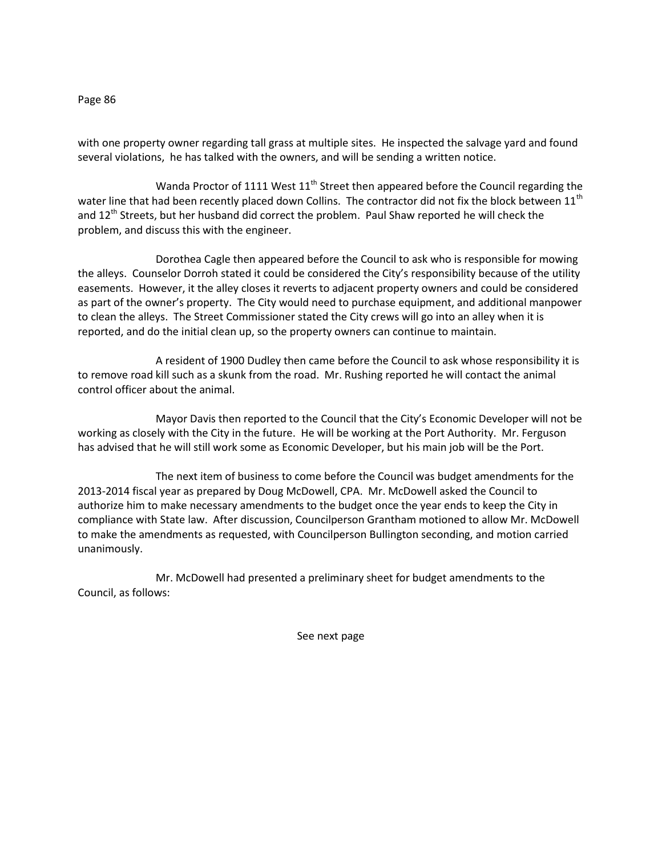with one property owner regarding tall grass at multiple sites. He inspected the salvage yard and found several violations, he has talked with the owners, and will be sending a written notice.

Wanda Proctor of 1111 West  $11<sup>th</sup>$  Street then appeared before the Council regarding the water line that had been recently placed down Collins. The contractor did not fix the block between 11<sup>th</sup> and 12<sup>th</sup> Streets, but her husband did correct the problem. Paul Shaw reported he will check the problem, and discuss this with the engineer.

Dorothea Cagle then appeared before the Council to ask who is responsible for mowing the alleys. Counselor Dorroh stated it could be considered the City's responsibility because of the utility easements. However, it the alley closes it reverts to adjacent property owners and could be considered as part of the owner's property. The City would need to purchase equipment, and additional manpower to clean the alleys. The Street Commissioner stated the City crews will go into an alley when it is reported, and do the initial clean up, so the property owners can continue to maintain.

A resident of 1900 Dudley then came before the Council to ask whose responsibility it is to remove road kill such as a skunk from the road. Mr. Rushing reported he will contact the animal control officer about the animal.

Mayor Davis then reported to the Council that the City's Economic Developer will not be working as closely with the City in the future. He will be working at the Port Authority. Mr. Ferguson has advised that he will still work some as Economic Developer, but his main job will be the Port.

The next item of business to come before the Council was budget amendments for the 2013-2014 fiscal year as prepared by Doug McDowell, CPA. Mr. McDowell asked the Council to authorize him to make necessary amendments to the budget once the year ends to keep the City in compliance with State law. After discussion, Councilperson Grantham motioned to allow Mr. McDowell to make the amendments as requested, with Councilperson Bullington seconding, and motion carried unanimously.

Mr. McDowell had presented a preliminary sheet for budget amendments to the Council, as follows:

See next page